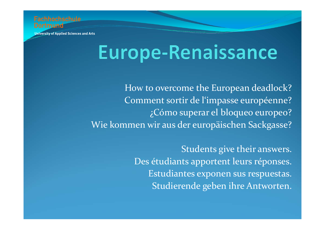

## **Europe-Renaissance**

How to overcome the European deadlock? Comment sortir de l'impasse européenne? ¿Cómo superar el bloqueo europeo? Wie kommen wir aus der europäischen Sackgasse?

> Students give their answers. Des étudiants apportent leurs réponses. Estudiantes exponen sus respuestas. Studierende geben ihre Antworten.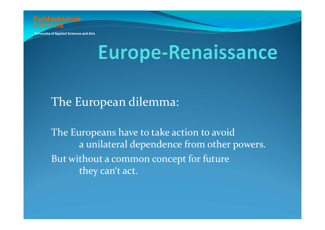

### **Europe-Renaissance**

### The European dilemma:

The Europeans have to take action to avoid a unilateral dependence from other powers. But without a common concept for future they can't act.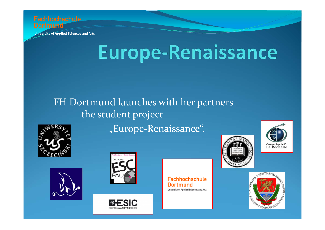

# **Europe-Renaissance**

#### FH Dortmund launches with her partners the student project

"Europe-Renaissance".









**Fachhochschule** Dortmund University of Applied Sciences and Arts





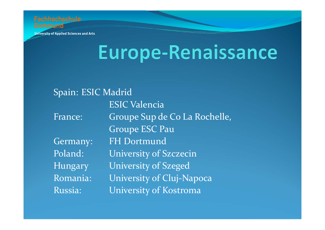

# Europe-Renaissance

Spain: ESIC Madrid **ESIC Valencia** Groupe Sup de Co La Rochelle, France: **Groupe ESC Pau FH Dortmund** Germany: University of Szczecin Poland: Hungary **University of Szeged** Romania: University of Cluj-Napoca Russia: University of Kostroma